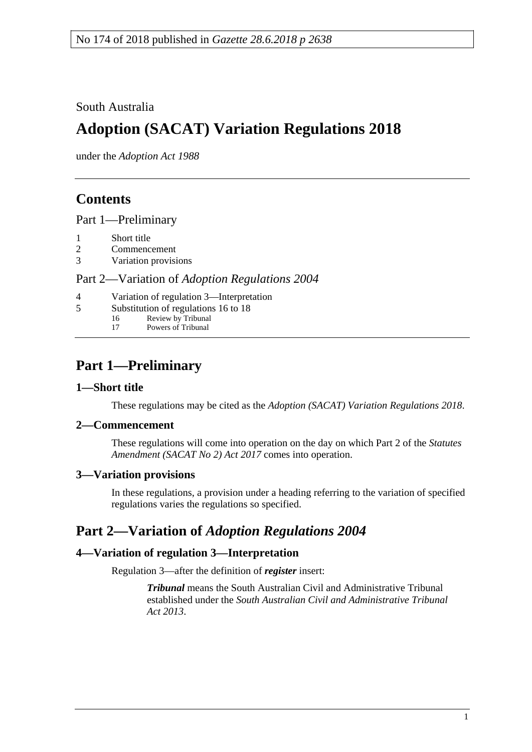South Australia

# **Adoption (SACAT) Variation Regulations 2018**

under the *Adoption Act 1988*

## **Contents**

Part [1—Preliminary](#page-0-0)

- 1 [Short title](#page-0-1)
- 2 [Commencement](#page-0-2)
- 3 [Variation provisions](#page-0-3)

Part 2—Variation of *[Adoption Regulations](#page-0-4) 2004*

- 4 [Variation of regulation 3—Interpretation](#page-0-5)
- 5 [Substitution of regulations 16 to 18](#page-1-0)<br>16 Review by Tribunal
	- 16 Review by Tribunal<br>17 Powers of Tribunal
		- Powers of Tribunal

# <span id="page-0-0"></span>**Part 1—Preliminary**

### <span id="page-0-1"></span>**1—Short title**

These regulations may be cited as the *Adoption (SACAT) Variation Regulations 2018*.

### <span id="page-0-2"></span>**2—Commencement**

These regulations will come into operation on the day on which Part 2 of the *[Statutes](http://www.legislation.sa.gov.au/index.aspx?action=legref&type=act&legtitle=Statutes%20Amendment%20(SACAT%20No%202)%20Act%202017)  [Amendment \(SACAT No 2\) Act 2017](http://www.legislation.sa.gov.au/index.aspx?action=legref&type=act&legtitle=Statutes%20Amendment%20(SACAT%20No%202)%20Act%202017)* comes into operation.

### <span id="page-0-3"></span>**3—Variation provisions**

In these regulations, a provision under a heading referring to the variation of specified regulations varies the regulations so specified.

### <span id="page-0-4"></span>**Part 2—Variation of** *Adoption Regulations 2004*

### <span id="page-0-5"></span>**4—Variation of regulation 3—Interpretation**

Regulation 3—after the definition of *register* insert:

*Tribunal* means the South Australian Civil and Administrative Tribunal established under the *[South Australian Civil and Administrative Tribunal](http://www.legislation.sa.gov.au/index.aspx?action=legref&type=act&legtitle=South%20Australian%20Civil%20and%20Administrative%20Tribunal%20Act%202013)  Act [2013](http://www.legislation.sa.gov.au/index.aspx?action=legref&type=act&legtitle=South%20Australian%20Civil%20and%20Administrative%20Tribunal%20Act%202013)*.